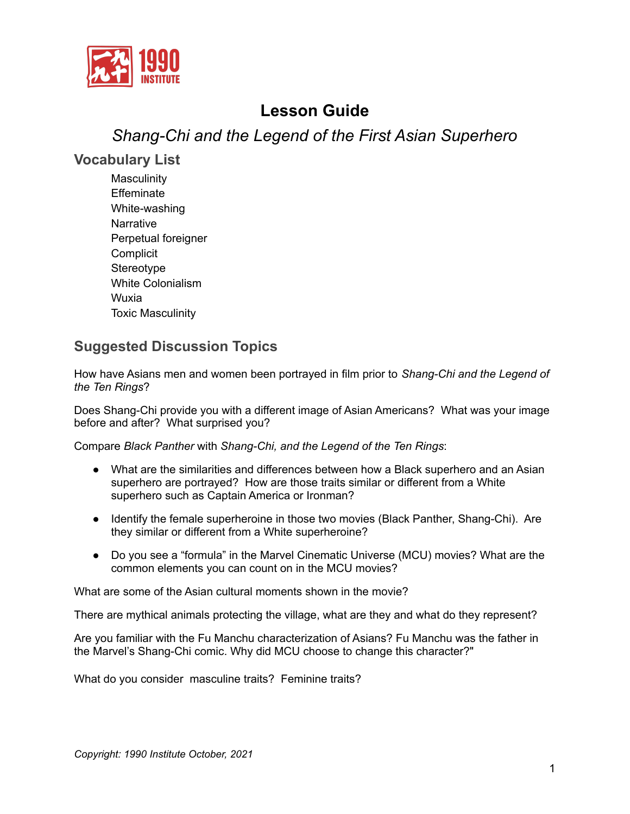

# **Lesson Guide**

# *Shang-Chi and the Legend of the First Asian Superhero*

#### **Vocabulary List**

**Masculinity Effeminate** White-washing **Narrative** Perpetual foreigner **Complicit Stereotype** White Colonialism Wuxia Toxic Masculinity

## **Suggested Discussion Topics**

How have Asians men and women been portrayed in film prior to *Shang-Chi and the Legend of the Ten Rings*?

Does Shang-Chi provide you with a different image of Asian Americans? What was your image before and after? What surprised you?

Compare *Black Panther* with *Shang-Chi, and the Legend of the Ten Rings*:

- What are the similarities and differences between how a Black superhero and an Asian superhero are portrayed? How are those traits similar or different from a White superhero such as Captain America or Ironman?
- Identify the female superheroine in those two movies (Black Panther, Shang-Chi). Are they similar or different from a White superheroine?
- Do you see a "formula" in the Marvel Cinematic Universe (MCU) movies? What are the common elements you can count on in the MCU movies?

What are some of the Asian cultural moments shown in the movie?

There are mythical animals protecting the village, what are they and what do they represent?

Are you familiar with the Fu Manchu characterization of Asians? Fu Manchu was the father in the Marvel's Shang-Chi comic. Why did MCU choose to change this character?"

What do you consider masculine traits? Feminine traits?